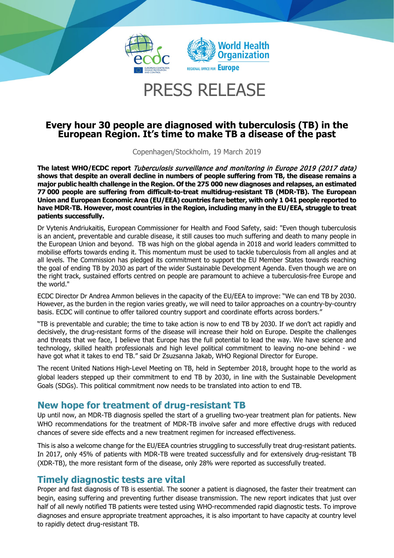

## PRESS RELEASE

# **Every hour 30 people are diagnosed with tuberculosis (TB) in the European Region. It's time to make TB a disease of the past**

Copenhagen/Stockholm, 19 March 2019

**The latest WHO/ECDC report** Tuberculosis surveillance and monitoring in Europe 2019 (2017 data) **shows that despite an overall decline in numbers of people suffering from TB, the disease remains a major public health challenge in the Region. Of the 275 000 new diagnoses and relapses, an estimated 77 000 people are suffering from difficult-to-treat multidrug-resistant TB (MDR-TB). The European Union and European Economic Area (EU/EEA) countries fare better, with only 1 041 people reported to have MDR-TB. However, most countries in the Region, including many in the EU/EEA, struggle to treat patients successfully.**

Dr Vytenis Andriukaitis, European Commissioner for Health and Food Safety, said: "Even though tuberculosis is an ancient, preventable and curable disease, it still causes too much suffering and death to many people in the European Union and beyond. TB was high on the global agenda in 2018 and world leaders committed to mobilise efforts towards ending it. This momentum must be used to tackle tuberculosis from all angles and at all levels. The Commission has pledged its commitment to support the EU Member States towards reaching the goal of ending TB by 2030 as part of the wider Sustainable Development Agenda. Even though we are on the right track, sustained efforts centred on people are paramount to achieve a tuberculosis-free Europe and the world."

ECDC Director Dr Andrea Ammon believes in the capacity of the EU/EEA to improve: "We can end TB by 2030. However, as the burden in the region varies greatly, we will need to tailor approaches on a country-by-country basis. ECDC will continue to offer tailored country support and coordinate efforts across borders."

"TB is preventable and curable; the time to take action is now to end TB by 2030. If we don't act rapidly and decisively, the drug-resistant forms of the disease will increase their hold on Europe. Despite the challenges and threats that we face, I believe that Europe has the full potential to lead the way. We have science and technology, skilled health professionals and high level political commitment to leaving no-one behind - we have got what it takes to end TB." said Dr Zsuzsanna Jakab, WHO Regional Director for Europe.

The recent United Nations High-Level Meeting on TB, held in September 2018, brought hope to the world as global leaders stepped up their commitment to end TB by 2030, in line with the Sustainable Development Goals (SDGs). This political commitment now needs to be translated into action to end TB.

## **New hope for treatment of drug-resistant TB**

Up until now, an MDR-TB diagnosis spelled the start of a gruelling two-year treatment plan for patients. New WHO recommendations for the treatment of MDR-TB involve safer and more effective drugs with reduced chances of severe side effects and a new treatment regimen for increased effectiveness.

This is also a welcome change for the EU/EEA countries struggling to successfully treat drug-resistant patients. In 2017, only 45% of patients with MDR-TB were treated successfully and for extensively drug-resistant TB (XDR-TB), the more resistant form of the disease, only 28% were reported as successfully treated.

## **Timely diagnostic tests are vital**

Proper and fast diagnosis of TB is essential. The sooner a patient is diagnosed, the faster their treatment can begin, easing suffering and preventing further disease transmission. The new report indicates that just over half of all newly notified TB patients were tested using WHO-recommended rapid diagnostic tests. To improve diagnoses and ensure appropriate treatment approaches, it is also important to have capacity at country level to rapidly detect drug-resistant TB.